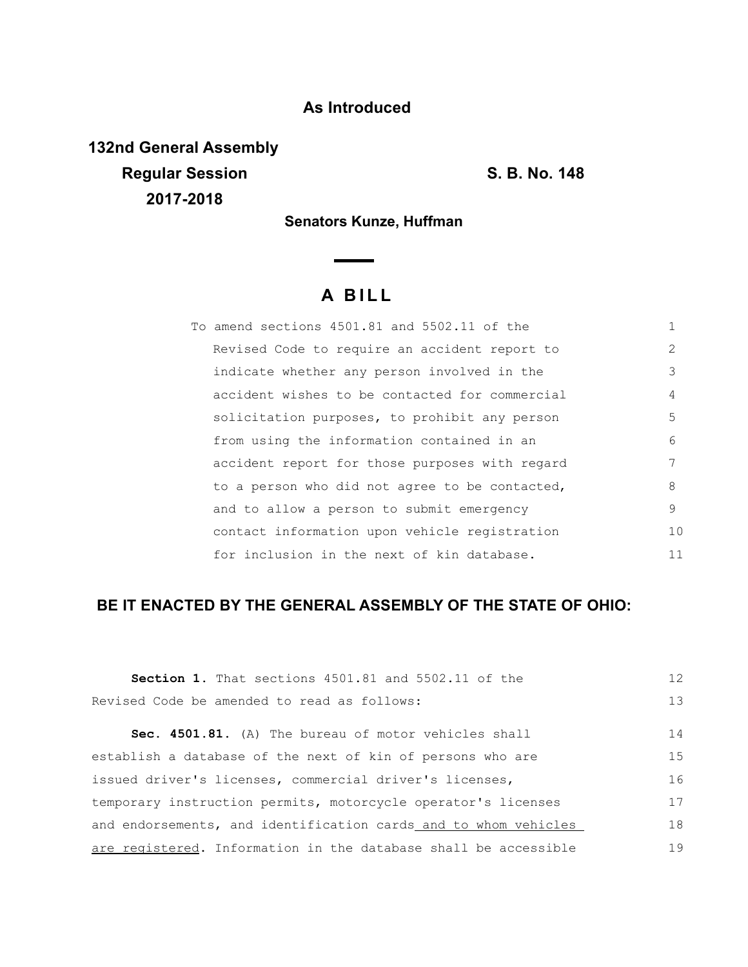## **As Introduced**

**132nd General Assembly Regular Session S. B. No. 148 2017-2018**

**Senators Kunze, Huffman**

 $\sim$ 

## **A B I L L**

| To amend sections 4501.81 and 5502.11 of the   | 1              |
|------------------------------------------------|----------------|
| Revised Code to require an accident report to  | $\overline{2}$ |
| indicate whether any person involved in the    | 3              |
| accident wishes to be contacted for commercial | 4              |
| solicitation purposes, to prohibit any person  | 5              |
| from using the information contained in an     | 6              |
| accident report for those purposes with regard | 7              |
| to a person who did not agree to be contacted, | 8              |
| and to allow a person to submit emergency      | 9              |
| contact information upon vehicle registration  | 10             |
| for inclusion in the next of kin database.     | 11             |

## **BE IT ENACTED BY THE GENERAL ASSEMBLY OF THE STATE OF OHIO:**

| <b>Section 1.</b> That sections 4501.81 and 5502.11 of the      | 12 |
|-----------------------------------------------------------------|----|
| Revised Code be amended to read as follows:                     | 13 |
| Sec. 4501.81. (A) The bureau of motor vehicles shall            | 14 |
| establish a database of the next of kin of persons who are      | 15 |
| issued driver's licenses, commercial driver's licenses,         |    |
| temporary instruction permits, motorcycle operator's licenses   |    |
| and endorsements, and identification cards and to whom vehicles | 18 |
| are registered. Information in the database shall be accessible | 19 |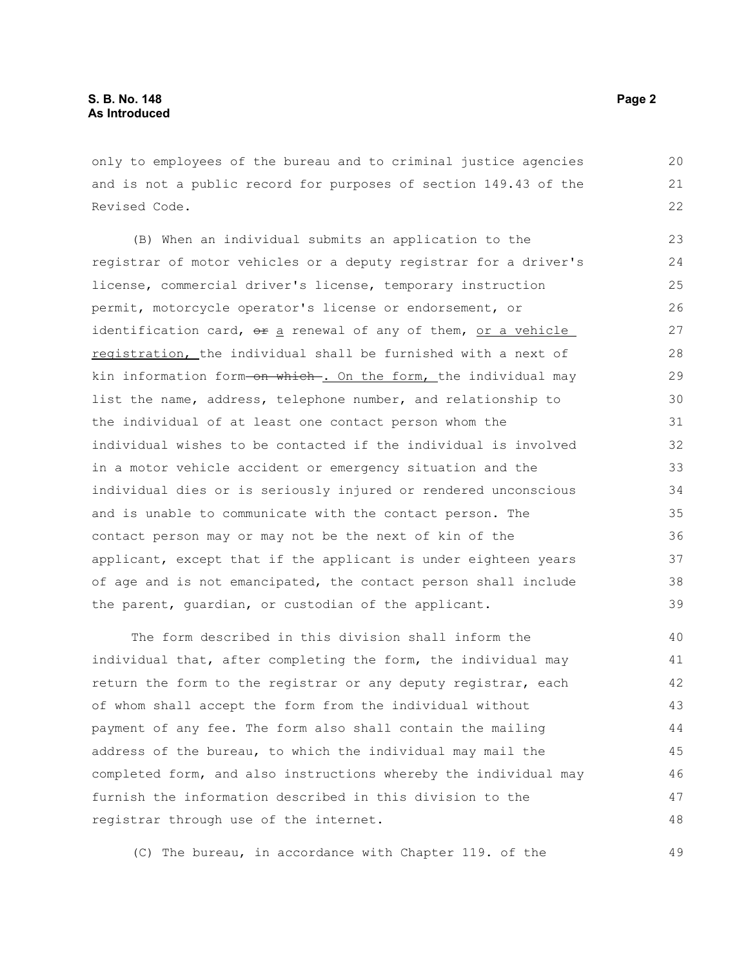only to employees of the bureau and to criminal justice agencies and is not a public record for purposes of section 149.43 of the Revised Code.

(B) When an individual submits an application to the registrar of motor vehicles or a deputy registrar for a driver's license, commercial driver's license, temporary instruction permit, motorcycle operator's license or endorsement, or identification card,  $\theta$  a renewal of any of them, or a vehicle registration, the individual shall be furnished with a next of kin information form-on which-. On the form, the individual may list the name, address, telephone number, and relationship to the individual of at least one contact person whom the individual wishes to be contacted if the individual is involved in a motor vehicle accident or emergency situation and the individual dies or is seriously injured or rendered unconscious and is unable to communicate with the contact person. The contact person may or may not be the next of kin of the applicant, except that if the applicant is under eighteen years of age and is not emancipated, the contact person shall include the parent, guardian, or custodian of the applicant. 23 24 25 26 27 28 29 30 31 32 33 34 35 36 37 38 39

The form described in this division shall inform the individual that, after completing the form, the individual may return the form to the registrar or any deputy registrar, each of whom shall accept the form from the individual without payment of any fee. The form also shall contain the mailing address of the bureau, to which the individual may mail the completed form, and also instructions whereby the individual may furnish the information described in this division to the registrar through use of the internet. 40 41 42 43 44 45 46 47 48

(C) The bureau, in accordance with Chapter 119. of the

49

20 21 22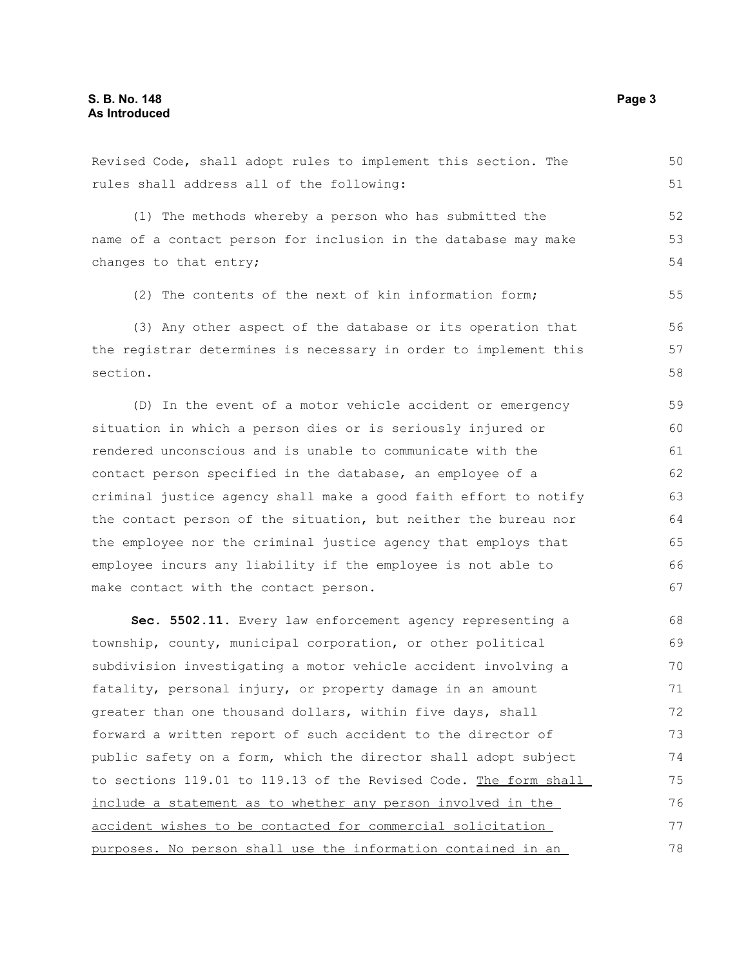Revised Code, shall adopt rules to implement this section. The rules shall address all of the following: (1) The methods whereby a person who has submitted the name of a contact person for inclusion in the database may make changes to that entry; (2) The contents of the next of kin information form; (3) Any other aspect of the database or its operation that the registrar determines is necessary in order to implement this section. (D) In the event of a motor vehicle accident or emergency situation in which a person dies or is seriously injured or rendered unconscious and is unable to communicate with the contact person specified in the database, an employee of a criminal justice agency shall make a good faith effort to notify the contact person of the situation, but neither the bureau nor the employee nor the criminal justice agency that employs that employee incurs any liability if the employee is not able to make contact with the contact person. **Sec. 5502.11.** Every law enforcement agency representing a township, county, municipal corporation, or other political subdivision investigating a motor vehicle accident involving a fatality, personal injury, or property damage in an amount greater than one thousand dollars, within five days, shall forward a written report of such accident to the director of public safety on a form, which the director shall adopt subject to sections 119.01 to 119.13 of the Revised Code. The form shall include a statement as to whether any person involved in the accident wishes to be contacted for commercial solicitation 50 51 52 53 54 55 56 57 58 59 60 61 62 63 64 65 66 67 68 69 70 71 72 73 74 75 76 77

purposes. No person shall use the information contained in an

78